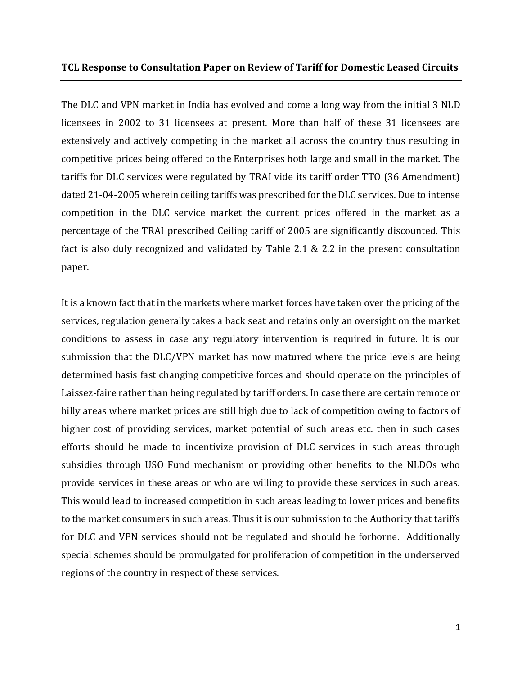#### **TCL Response to Consultation Paper on Review of Tariff for Domestic Leased Circuits**

The DLC and VPN market in India has evolved and come a long way from the initial 3 NLD licensees in 2002 to 31 licensees at present. More than half of these 31 licensees are extensively and actively competing in the market all across the country thus resulting in competitive prices being offered to the Enterprises both large and small in the market. The tariffs for DLC services were regulated by TRAI vide its tariff order TTO (36 Amendment) dated 21-04-2005 wherein ceiling tariffs was prescribed for the DLC services. Due to intense competition in the DLC service market the current prices offered in the market as a percentage of the TRAI prescribed Ceiling tariff of 2005 are significantly discounted. This fact is also duly recognized and validated by Table 2.1 & 2.2 in the present consultation paper.

It is a known fact that in the markets where market forces have taken over the pricing of the services, regulation generally takes a back seat and retains only an oversight on the market conditions to assess in case any regulatory intervention is required in future. It is our submission that the DLC/VPN market has now matured where the price levels are being determined basis fast changing competitive forces and should operate on the principles of Laissez-faire rather than being regulated by tariff orders. In case there are certain remote or hilly areas where market prices are still high due to lack of competition owing to factors of higher cost of providing services, market potential of such areas etc. then in such cases efforts should be made to incentivize provision of DLC services in such areas through subsidies through USO Fund mechanism or providing other benefits to the NLDOs who provide services in these areas or who are willing to provide these services in such areas. This would lead to increased competition in such areas leading to lower prices and benefits to the market consumers in such areas. Thus it is our submission to the Authority that tariffs for DLC and VPN services should not be regulated and should be forborne. Additionally special schemes should be promulgated for proliferation of competition in the underserved regions of the country in respect of these services.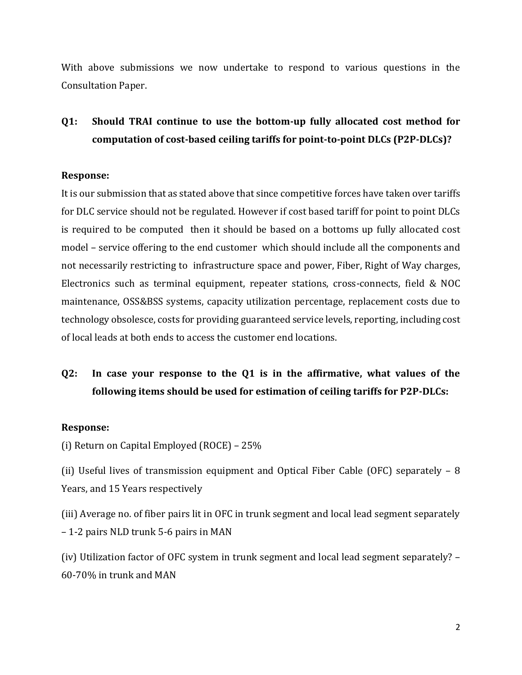With above submissions we now undertake to respond to various questions in the Consultation Paper.

### **Q1: Should TRAI continue to use the bottom-up fully allocated cost method for computation of cost-based ceiling tariffs for point-to-point DLCs (P2P-DLCs)?**

#### **Response:**

It is our submission that as stated above that since competitive forces have taken over tariffs for DLC service should not be regulated. However if cost based tariff for point to point DLCs is required to be computed then it should be based on a bottoms up fully allocated cost model – service offering to the end customer which should include all the components and not necessarily restricting to infrastructure space and power, Fiber, Right of Way charges, Electronics such as terminal equipment, repeater stations, cross-connects, field & NOC maintenance, OSS&BSS systems, capacity utilization percentage, replacement costs due to technology obsolesce, costs for providing guaranteed service levels, reporting, including cost of local leads at both ends to access the customer end locations.

### **Q2: In case your response to the Q1 is in the affirmative, what values of the following items should be used for estimation of ceiling tariffs for P2P-DLCs:**

#### **Response:**

(i) Return on Capital Employed (ROCE) – 25%

(ii) Useful lives of transmission equipment and Optical Fiber Cable (OFC) separately – 8 Years, and 15 Years respectively

(iii) Average no. of fiber pairs lit in OFC in trunk segment and local lead segment separately – 1-2 pairs NLD trunk 5-6 pairs in MAN

(iv) Utilization factor of OFC system in trunk segment and local lead segment separately? – 60-70% in trunk and MAN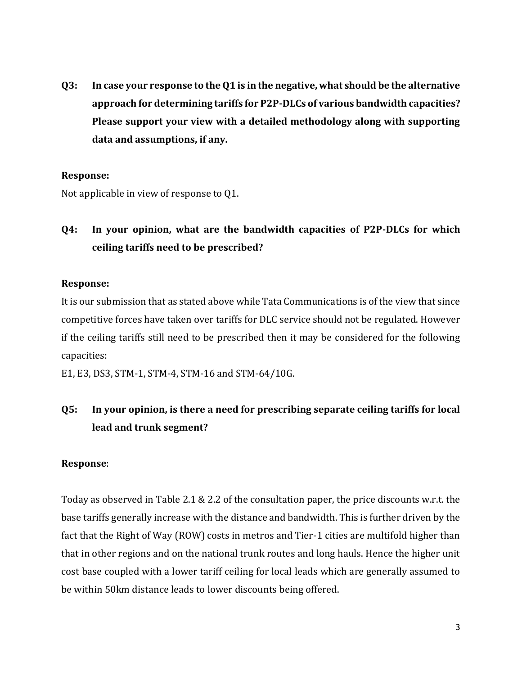**Q3: In case your response to the Q1 is in the negative, what should be the alternative approach for determining tariffs for P2P-DLCs of various bandwidth capacities? Please support your view with a detailed methodology along with supporting data and assumptions, if any.** 

### **Response:**

Not applicable in view of response to Q1.

## **Q4: In your opinion, what are the bandwidth capacities of P2P-DLCs for which ceiling tariffs need to be prescribed?**

### **Response:**

It is our submission that as stated above while Tata Communications is of the view that since competitive forces have taken over tariffs for DLC service should not be regulated. However if the ceiling tariffs still need to be prescribed then it may be considered for the following capacities:

E1, E3, DS3, STM-1, STM-4, STM-16 and STM-64/10G.

### **Q5: In your opinion, is there a need for prescribing separate ceiling tariffs for local lead and trunk segment?**

### **Response**:

Today as observed in Table 2.1 & 2.2 of the consultation paper, the price discounts w.r.t. the base tariffs generally increase with the distance and bandwidth. This is further driven by the fact that the Right of Way (ROW) costs in metros and Tier-1 cities are multifold higher than that in other regions and on the national trunk routes and long hauls. Hence the higher unit cost base coupled with a lower tariff ceiling for local leads which are generally assumed to be within 50km distance leads to lower discounts being offered.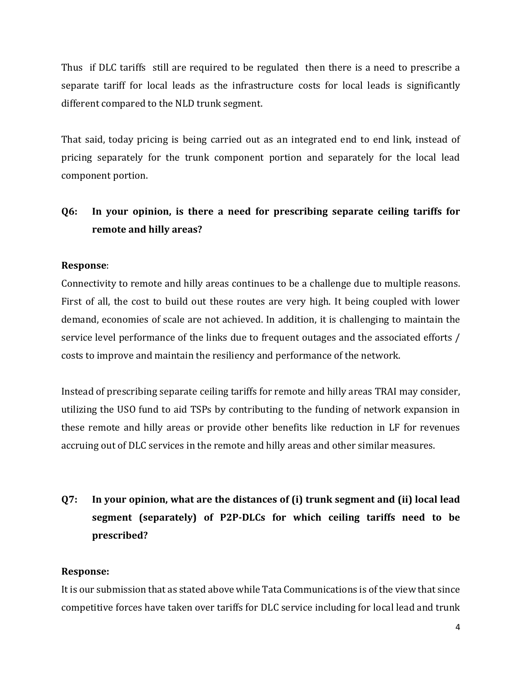Thus if DLC tariffs still are required to be regulated then there is a need to prescribe a separate tariff for local leads as the infrastructure costs for local leads is significantly different compared to the NLD trunk segment.

That said, today pricing is being carried out as an integrated end to end link, instead of pricing separately for the trunk component portion and separately for the local lead component portion.

### **Q6: In your opinion, is there a need for prescribing separate ceiling tariffs for remote and hilly areas?**

### **Response**:

Connectivity to remote and hilly areas continues to be a challenge due to multiple reasons. First of all, the cost to build out these routes are very high. It being coupled with lower demand, economies of scale are not achieved. In addition, it is challenging to maintain the service level performance of the links due to frequent outages and the associated efforts / costs to improve and maintain the resiliency and performance of the network.

Instead of prescribing separate ceiling tariffs for remote and hilly areas TRAI may consider, utilizing the USO fund to aid TSPs by contributing to the funding of network expansion in these remote and hilly areas or provide other benefits like reduction in LF for revenues accruing out of DLC services in the remote and hilly areas and other similar measures.

# **Q7: In your opinion, what are the distances of (i) trunk segment and (ii) local lead segment (separately) of P2P-DLCs for which ceiling tariffs need to be prescribed?**

### **Response:**

It is our submission that as stated above while Tata Communications is of the view that since competitive forces have taken over tariffs for DLC service including for local lead and trunk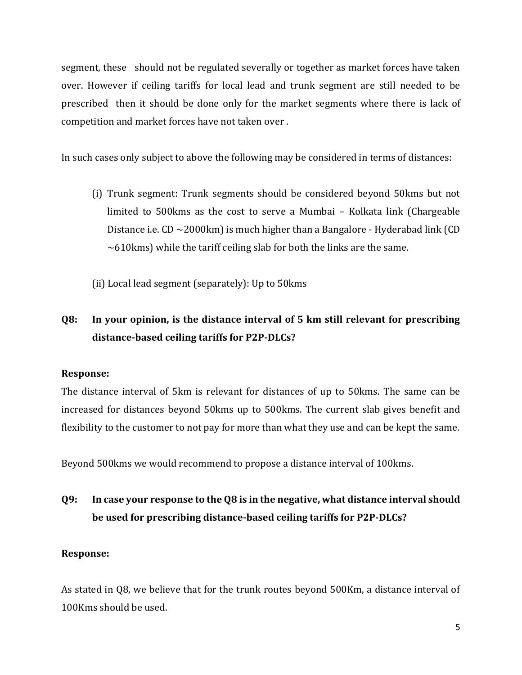segment, these should not be regulated severally or together as market forces have taken over. However if ceiling tariffs for local lead and trunk segment are still needed to be prescribed then it should be done only for the market segments where there is lack of competition and market forces have not taken over .

In such cases only subject to above the following may be considered in terms of distances:

- (i) Trunk segment: Trunk segments should be considered beyond 50kms but not limited to 500kms as the cost to serve a Mumbai – Kolkata link (Chargeable Distance i.e.  $CD \sim 2000 \text{km}$ ) is much higher than a Bangalore - Hyderabad link (CD  $\sim$  610 kms) while the tariff ceiling slab for both the links are the same.
- (ii) Local lead segment (separately): Up to 50kms

## **Q8: In your opinion, is the distance interval of 5 km still relevant for prescribing distance-based ceiling tariffs for P2P-DLCs?**

### **Response:**

The distance interval of 5km is relevant for distances of up to 50kms. The same can be increased for distances beyond 50kms up to 500kms. The current slab gives benefit and flexibility to the customer to not pay for more than what they use and can be kept the same.

Beyond 500kms we would recommend to propose a distance interval of 100kms.

## **Q9: In case your response to the Q8 is in the negative, what distance interval should be used for prescribing distance-based ceiling tariffs for P2P-DLCs?**

### **Response:**

As stated in Q8, we believe that for the trunk routes beyond 500Km, a distance interval of 100Kms should be used.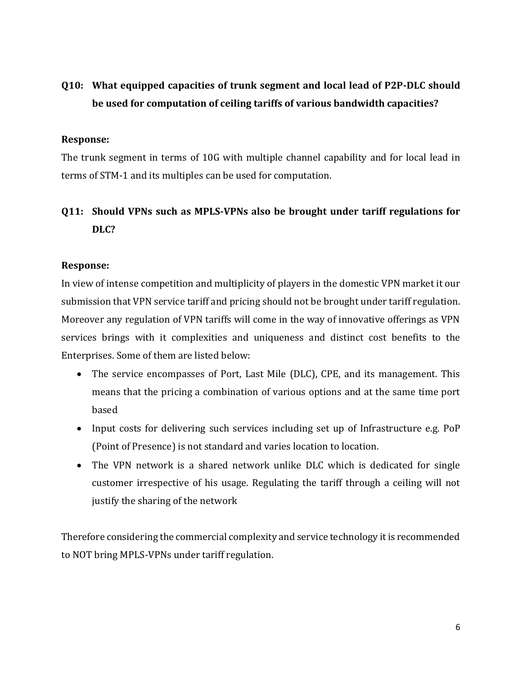### **Q10: What equipped capacities of trunk segment and local lead of P2P-DLC should be used for computation of ceiling tariffs of various bandwidth capacities?**

#### **Response:**

The trunk segment in terms of 10G with multiple channel capability and for local lead in terms of STM-1 and its multiples can be used for computation.

### **Q11: Should VPNs such as MPLS-VPNs also be brought under tariff regulations for DLC?**

#### **Response:**

In view of intense competition and multiplicity of players in the domestic VPN market it our submission that VPN service tariff and pricing should not be brought under tariff regulation. Moreover any regulation of VPN tariffs will come in the way of innovative offerings as VPN services brings with it complexities and uniqueness and distinct cost benefits to the Enterprises. Some of them are listed below:

- The service encompasses of Port, Last Mile (DLC), CPE, and its management. This means that the pricing a combination of various options and at the same time port based
- Input costs for delivering such services including set up of Infrastructure e.g. PoP (Point of Presence) is not standard and varies location to location.
- The VPN network is a shared network unlike DLC which is dedicated for single customer irrespective of his usage. Regulating the tariff through a ceiling will not justify the sharing of the network

Therefore considering the commercial complexity and service technology it is recommended to NOT bring MPLS-VPNs under tariff regulation.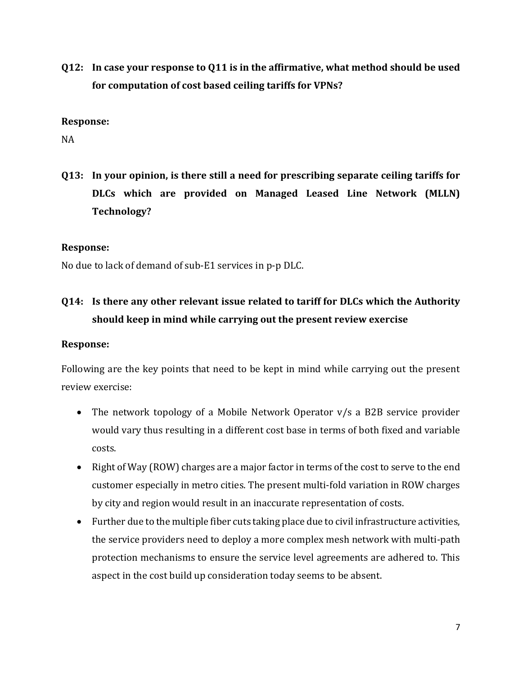**Q12: In case your response to Q11 is in the affirmative, what method should be used for computation of cost based ceiling tariffs for VPNs?** 

#### **Response:**

NA

**Q13: In your opinion, is there still a need for prescribing separate ceiling tariffs for DLCs which are provided on Managed Leased Line Network (MLLN) Technology?**

#### **Response:**

No due to lack of demand of sub-E1 services in p-p DLC.

## **Q14: Is there any other relevant issue related to tariff for DLCs which the Authority should keep in mind while carrying out the present review exercise**

### **Response:**

Following are the key points that need to be kept in mind while carrying out the present review exercise:

- The network topology of a Mobile Network Operator v/s a B2B service provider would vary thus resulting in a different cost base in terms of both fixed and variable costs.
- Right of Way (ROW) charges are a major factor in terms of the cost to serve to the end customer especially in metro cities. The present multi-fold variation in ROW charges by city and region would result in an inaccurate representation of costs.
- Further due to the multiple fiber cuts taking place due to civil infrastructure activities, the service providers need to deploy a more complex mesh network with multi-path protection mechanisms to ensure the service level agreements are adhered to. This aspect in the cost build up consideration today seems to be absent.